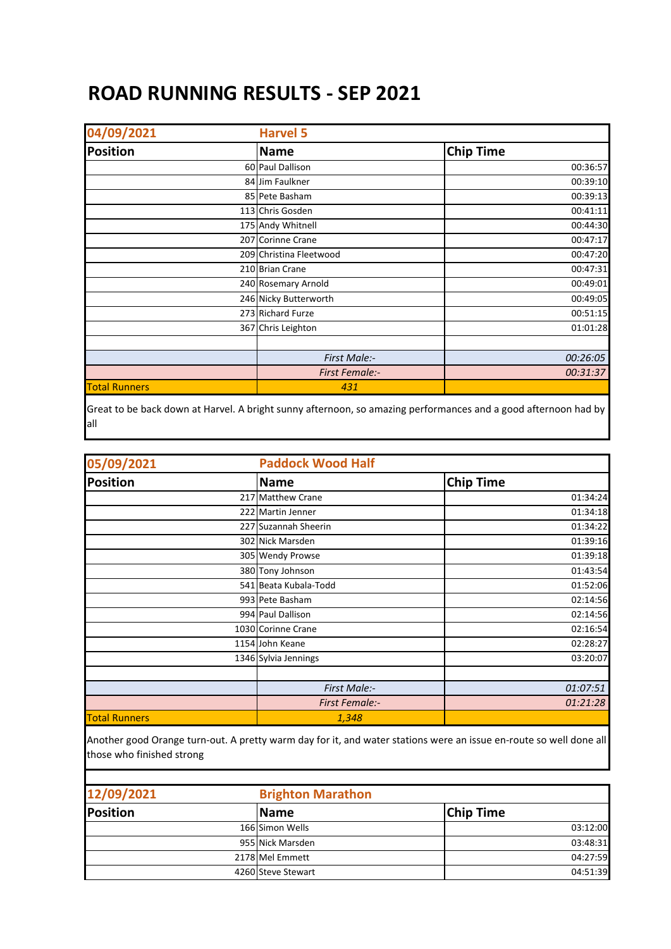## **ROAD RUNNING RESULTS - SEP 2021**

| 04/09/2021           | <b>Harvel 5</b>         |                  |
|----------------------|-------------------------|------------------|
| <b>Position</b>      | <b>Name</b>             | <b>Chip Time</b> |
|                      | 60 Paul Dallison        | 00:36:57         |
|                      | 84 Jim Faulkner         | 00:39:10         |
|                      | 85 Pete Basham          | 00:39:13         |
|                      | 113 Chris Gosden        | 00:41:11         |
|                      | 175 Andy Whitnell       | 00:44:30         |
|                      | 207 Corinne Crane       | 00:47:17         |
|                      | 209 Christina Fleetwood | 00:47:20         |
|                      | 210 Brian Crane         | 00:47:31         |
|                      | 240 Rosemary Arnold     | 00:49:01         |
|                      | 246 Nicky Butterworth   | 00:49:05         |
|                      | 273 Richard Furze       | 00:51:15         |
|                      | 367 Chris Leighton      | 01:01:28         |
|                      |                         |                  |
|                      | First Male:-            | 00:26:05         |
|                      | <b>First Female:-</b>   | 00:31:37         |
| <b>Total Runners</b> | 431                     |                  |

Great to be back down at Harvel. A bright sunny afternoon, so amazing performances and a good afternoon had by all

| 05/09/2021           | <b>Paddock Wood Half</b> |                  |
|----------------------|--------------------------|------------------|
| <b>Position</b>      | <b>Name</b>              | <b>Chip Time</b> |
|                      | 217 Matthew Crane        | 01:34:24         |
|                      | 222 Martin Jenner        | 01:34:18         |
|                      | 227 Suzannah Sheerin     | 01:34:22         |
|                      | 302 Nick Marsden         | 01:39:16         |
|                      | 305 Wendy Prowse         | 01:39:18         |
|                      | 380 Tony Johnson         | 01:43:54         |
|                      | 541 Beata Kubala-Todd    | 01:52:06         |
|                      | 993 Pete Basham          | 02:14:56         |
|                      | 994 Paul Dallison        | 02:14:56         |
|                      | 1030 Corinne Crane       | 02:16:54         |
|                      | 1154 John Keane          | 02:28:27         |
|                      | 1346 Sylvia Jennings     | 03:20:07         |
|                      |                          |                  |
|                      | First Male:-             | 01:07:51         |
|                      | <b>First Female:-</b>    | 01:21:28         |
| <b>Total Runners</b> | 1,348                    |                  |

Another good Orange turn-out. A pretty warm day for it, and water stations were an issue en-route so well done all those who finished strong

| 12/09/2021 | <b>Brighton Marathon</b> |                  |
|------------|--------------------------|------------------|
| Position   | <b>Name</b>              | <b>Chip Time</b> |
|            | 166 Simon Wells          | 03:12:00         |
|            | 955 Nick Marsden         | 03:48:31         |
|            | 2178 Mel Emmett          | 04:27:59         |
|            | 4260 Steve Stewart       | 04:51:39         |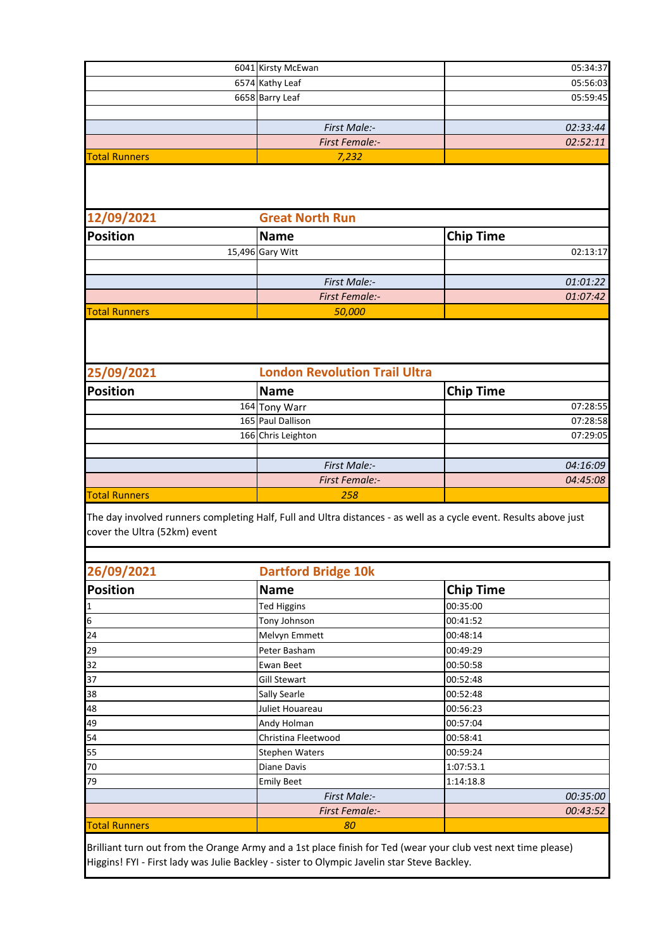|                      | 6041 Kirsty McEwan    | 05:34:37 |
|----------------------|-----------------------|----------|
|                      | 6574 Kathy Leaf       | 05:56:03 |
|                      | 6658 Barry Leaf       | 05:59:45 |
|                      |                       |          |
|                      | <b>First Male:-</b>   | 02:33:44 |
|                      | <b>First Female:-</b> | 02:52:11 |
| <b>Total Runners</b> | 7,232                 |          |

| 12/09/2021           |  | <b>Great North Run</b> |                  |
|----------------------|--|------------------------|------------------|
| <b>Position</b>      |  | Name                   | <b>Chip Time</b> |
|                      |  | 15,496 Gary Witt       | 02:13:17         |
|                      |  |                        |                  |
|                      |  | First Male:-           | 01:01:22         |
|                      |  | <b>First Female:-</b>  | 01:07:42         |
| <b>Total Runners</b> |  | 50,000                 |                  |

| 25/09/2021           | <b>London Revolution Trail Ultra</b> |                  |
|----------------------|--------------------------------------|------------------|
| <b>Position</b>      | <b>Name</b>                          | <b>Chip Time</b> |
|                      | 164 Tony Warr                        | 07:28:55         |
|                      | 165 Paul Dallison                    | 07:28:58         |
|                      | 166 Chris Leighton                   | 07:29:05         |
|                      |                                      |                  |
|                      | First Male:-                         | 04:16:09         |
|                      | <b>First Female:-</b>                | 04:45:08         |
| <b>Total Runners</b> | 258                                  |                  |

The day involved runners completing Half, Full and Ultra distances - as well as a cycle event. Results above just cover the Ultra (52km) event

| 26/09/2021           | <b>Dartford Bridge 10k</b> |                  |  |
|----------------------|----------------------------|------------------|--|
| <b>Position</b>      | <b>Name</b>                | <b>Chip Time</b> |  |
| 1                    | <b>Ted Higgins</b>         | 00:35:00         |  |
| $6\phantom{a}$       | Tony Johnson               | 00:41:52         |  |
| 24                   | Melvyn Emmett              | 00:48:14         |  |
| 29                   | Peter Basham               | 00:49:29         |  |
| 32                   | Ewan Beet                  | 00:50:58         |  |
| 37                   | <b>Gill Stewart</b>        | 00:52:48         |  |
| 38                   | Sally Searle               | 00:52:48         |  |
| 48                   | Juliet Houareau            | 00:56:23         |  |
| 49                   | Andy Holman                | 00:57:04         |  |
| 54                   | Christina Fleetwood        | 00:58:41         |  |
| 55                   | Stephen Waters             | 00:59:24         |  |
| 70                   | Diane Davis                | 1:07:53.1        |  |
| 79                   | <b>Emily Beet</b>          | 1:14:18.8        |  |
|                      | First Male:-               | 00:35:00         |  |
|                      | <b>First Female:-</b>      | 00:43:52         |  |
| <b>Total Runners</b> | 80                         |                  |  |

Brilliant turn out from the Orange Army and a 1st place finish for Ted (wear your club vest next time please) Higgins! FYI - First lady was Julie Backley - sister to Olympic Javelin star Steve Backley.